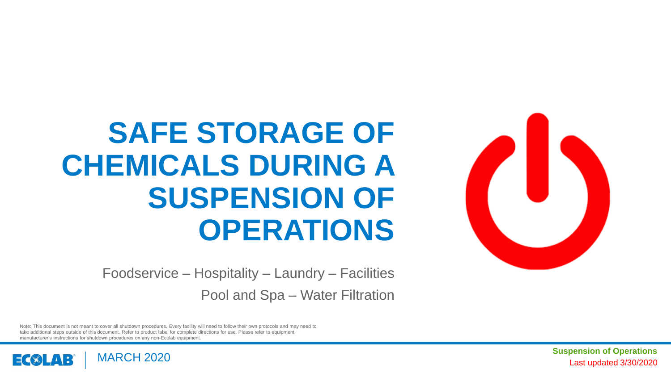

# **SAFE STORAGE OF CHEMICALS DURING A SUSPENSION OF OPERATIONS**

Foodservice – Hospitality – Laundry – Facilities Pool and Spa – Water Filtration

Note: This document is not meant to cover all shutdown procedures. Every facility will need to follow their own protocols and may need to take additional steps outside of this document. Refer to product label for complete directions for use. Please refer to equipment manufacturer's instructions for shutdown procedures on any non-Ecolab equipment.



Last updated 3/30/2020 **Suspension of Operations**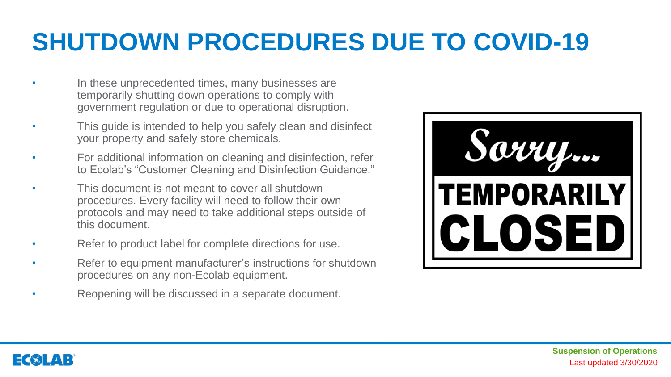### **SHUTDOWN PROCEDURES DUE TO COVID-19**

- In these unprecedented times, many businesses are temporarily shutting down operations to comply with government regulation or due to operational disruption.
- This guide is intended to help you safely clean and disinfect your property and safely store chemicals.
- For additional information on cleaning and disinfection, refer to Ecolab's "Customer Cleaning and Disinfection Guidance."
- This document is not meant to cover all shutdown procedures. Every facility will need to follow their own protocols and may need to take additional steps outside of this document.
- Refer to product label for complete directions for use.
- Refer to equipment manufacturer's instructions for shutdown procedures on any non-Ecolab equipment.
- Reopening will be discussed in a separate document.

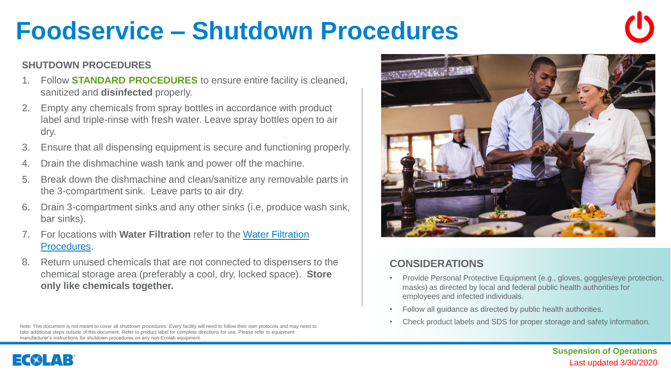### **Foodservice – Shutdown Procedures**

#### **SHUTDOWN PROCEDURES**

- 1. Follow **STANDARD PROCEDURES** to ensure entire facility is cleaned, sanitized and **disinfected** properly.
- 2. Empty any chemicals from spray bottles in accordance with product label and triple-rinse with fresh water. Leave spray bottles open to air dry.
- 3. Ensure that all dispensing equipment is secure and functioning properly.
- 4. Drain the dishmachine wash tank and power off the machine.
- 5. Break down the dishmachine and clean/sanitize any removable parts in the 3-compartment sink. Leave parts to air dry.
- 6. Drain 3-compartment sinks and any other sinks (i.e, produce wash sink, bar sinks).
- 7. For locations with **Water Filtration** [refer to the Water Filtration](#page-7-0) Procedures.
- 8. Return unused chemicals that are not connected to dispensers to the chemical storage area (preferably a cool, dry, locked space). **Store only like chemicals together.**

Note: This document is not meant to cover all shutdown procedures. Every facility will need to follow their own protocols and may need to take additional steps outside of this document. Refer to product label for complete directions for use. Please refer to equipment manufacturer's instructions for shutdown procedures on any non-Ecolab equipment.



- Provide Personal Protective Equipment (e.g., gloves, goggles/eye protection, masks) as directed by local and federal public health authorities for employees and infected individuals.
- Follow all guidance as directed by public health authorities.
- Check product labels and SDS for proper storage and safety information.

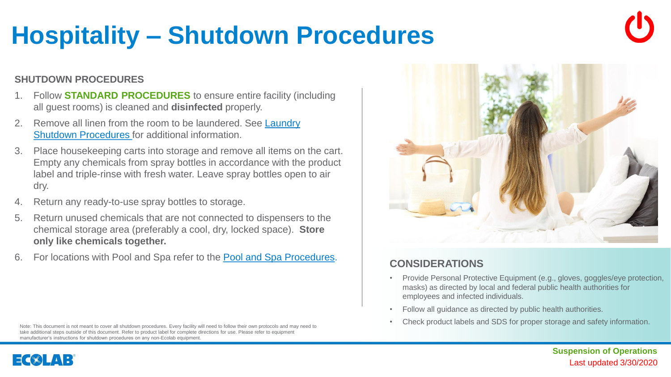### **Hospitality – Shutdown Procedures**

#### **SHUTDOWN PROCEDURES**

- 1. Follow **STANDARD PROCEDURES** to ensure entire facility (including all guest rooms) is cleaned and **disinfected** properly.
- Remove all linen from the room to be laundered. See Laundry [Shutdown Procedures for additional information.](#page-4-0)
- 3. Place housekeeping carts into storage and remove all items on the cart. Empty any chemicals from spray bottles in accordance with the product label and triple-rinse with fresh water. Leave spray bottles open to air dry.
- 4. Return any ready-to-use spray bottles to storage.
- 5. Return unused chemicals that are not connected to dispensers to the chemical storage area (preferably a cool, dry, locked space). **Store only like chemicals together.**
- 6. For locations with Pool and Spa refer to the [Pool and Spa Procedures.](#page-6-0)

Note: This document is not meant to cover all shutdown procedures. Every facility will need to follow their own protocols and may need to take additional steps outside of this document. Refer to product label for complete directions for use. Please refer to equipment

#### **CONSIDERATIONS**

- Provide Personal Protective Equipment (e.g., gloves, goggles/eye protection, masks) as directed by local and federal public health authorities for employees and infected individuals.
- Follow all guidance as directed by public health authorities.
- Check product labels and SDS for proper storage and safety information.



### manufacturer's instructions for shutdown procedures on any non-Ecolab equipment.

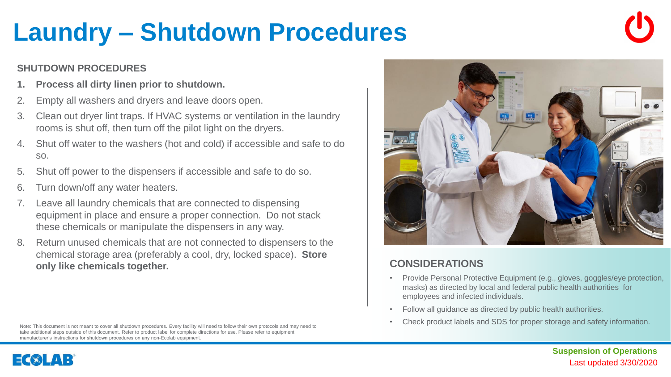### <span id="page-4-0"></span>**Laundry – Shutdown Procedures**

### **SHUTDOWN PROCEDURES**

- **1. Process all dirty linen prior to shutdown.**
- 2. Empty all washers and dryers and leave doors open.
- 3. Clean out dryer lint traps. If HVAC systems or ventilation in the laundry rooms is shut off, then turn off the pilot light on the dryers.
- 4. Shut off water to the washers (hot and cold) if accessible and safe to do so.
- 5. Shut off power to the dispensers if accessible and safe to do so.
- 6. Turn down/off any water heaters.

 $\exists$   $\langle$   $\rangle$   $\downarrow$   $\land$   $\Box$ 

- Leave all laundry chemicals that are connected to dispensing equipment in place and ensure a proper connection. Do not stack these chemicals or manipulate the dispensers in any way.
- 8. Return unused chemicals that are not connected to dispensers to the chemical storage area (preferably a cool, dry, locked space). **Store only like chemicals together. CONSIDERATIONS**

Note: This document is not meant to cover all shutdown procedures. Every facility will need to follow their own protocols and may need to take additional steps outside of this document. Refer to product label for complete directions for use. Please refer to equipment manufacturer's instructions for shutdown procedures on any non-Ecolab equipment.



- Provide Personal Protective Equipment (e.g., gloves, goggles/eye protection, masks) as directed by local and federal public health authorities for employees and infected individuals.
- Follow all guidance as directed by public health authorities.
- Check product labels and SDS for proper storage and safety information.

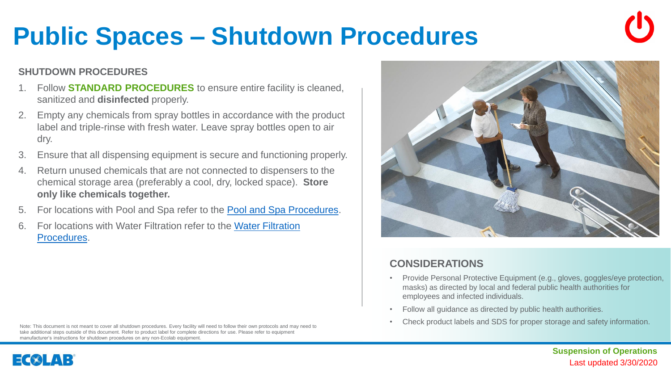### Last updated 3/30/2020 **Suspension of Operations**

## **Public Spaces – Shutdown Procedures**

### **SHUTDOWN PROCEDURES**

- 1. Follow **STANDARD PROCEDURES** to ensure entire facility is cleaned, sanitized and **disinfected** properly.
- 2. Empty any chemicals from spray bottles in accordance with the product label and triple-rinse with fresh water. Leave spray bottles open to air dry.
- 3. Ensure that all dispensing equipment is secure and functioning properly.
- 4. Return unused chemicals that are not connected to dispensers to the chemical storage area (preferably a cool, dry, locked space). **Store only like chemicals together.**
- 5. For locations with Pool and Spa refer to the [Pool and Spa Procedures](#page-6-0).
- 6. [For locations with Water Filtration refer to the Water Filtration](#page-7-0)  Procedures.

Note: This document is not meant to cover all shutdown procedures. Every facility will need to follow their own protocols and may need to take additional steps outside of this document. Refer to product label for complete directions for use. Please refer to equipment manufacturer's instructions for shutdown procedures on any non-Ecolab equipment.





- Provide Personal Protective Equipment (e.g., gloves, goggles/eye protection, masks) as directed by local and federal public health authorities for employees and infected individuals.
- Follow all guidance as directed by public health authorities.
- Check product labels and SDS for proper storage and safety information.

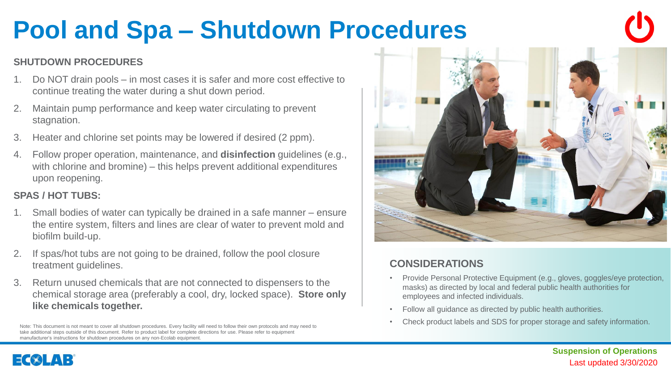## <span id="page-6-0"></span>**Pool and Spa – Shutdown Procedures**

#### **SHUTDOWN PROCEDURES**

- 1. Do NOT drain pools in most cases it is safer and more cost effective to continue treating the water during a shut down period.
- 2. Maintain pump performance and keep water circulating to prevent stagnation.
- 3. Heater and chlorine set points may be lowered if desired (2 ppm).
- 4. Follow proper operation, maintenance, and **disinfection** guidelines (e.g., with chlorine and bromine) – this helps prevent additional expenditures upon reopening.

#### **SPAS / HOT TUBS:**

- 1. Small bodies of water can typically be drained in a safe manner ensure the entire system, filters and lines are clear of water to prevent mold and biofilm build-up.
- 2. If spas/hot tubs are not going to be drained, follow the pool closure treatment guidelines.
- 3. Return unused chemicals that are not connected to dispensers to the chemical storage area (preferably a cool, dry, locked space). **Store only like chemicals together.**

Note: This document is not meant to cover all shutdown procedures. Every facility will need to follow their own protocols and may need to take additional steps outside of this document. Refer to product label for complete directions for use. Please refer to equipment manufacturer's instructions for shutdown procedures on any non-Ecolab equipment.



- Provide Personal Protective Equipment (e.g., gloves, goggles/eye protection, masks) as directed by local and federal public health authorities for employees and infected individuals.
- Follow all guidance as directed by public health authorities.
- Check product labels and SDS for proper storage and safety information.